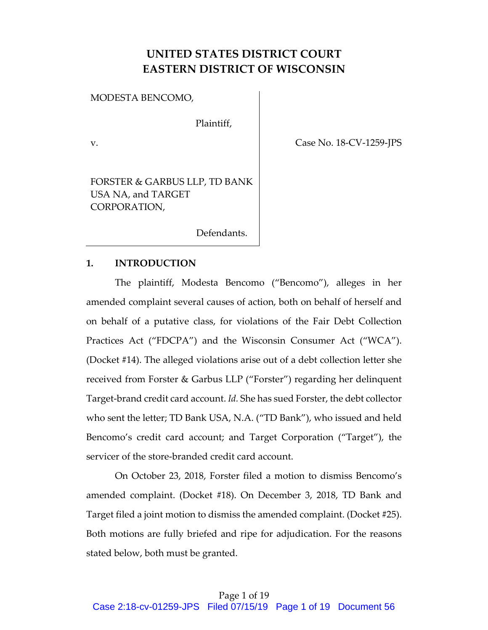# **UNITED STATES DISTRICT COURT EASTERN DISTRICT OF WISCONSIN**

MODESTA BENCOMO,

Plaintiff,

v. Case No. 18-CV-1259-JPS

FORSTER & GARBUS LLP, TD BANK USA NA, and TARGET CORPORATION,

Defendants.

## **1. INTRODUCTION**

The plaintiff, Modesta Bencomo ("Bencomo"), alleges in her amended complaint several causes of action, both on behalf of herself and on behalf of a putative class, for violations of the Fair Debt Collection Practices Act ("FDCPA") and the Wisconsin Consumer Act ("WCA"). (Docket #14). The alleged violations arise out of a debt collection letter she received from Forster & Garbus LLP ("Forster") regarding her delinquent Target-brand credit card account. *Id.* She has sued Forster, the debt collector who sent the letter; TD Bank USA, N.A. ("TD Bank"), who issued and held Bencomo's credit card account; and Target Corporation ("Target"), the servicer of the store-branded credit card account.

On October 23, 2018, Forster filed a motion to dismiss Bencomo's amended complaint. (Docket #18). On December 3, 2018, TD Bank and Target filed a joint motion to dismiss the amended complaint. (Docket #25). Both motions are fully briefed and ripe for adjudication. For the reasons stated below, both must be granted.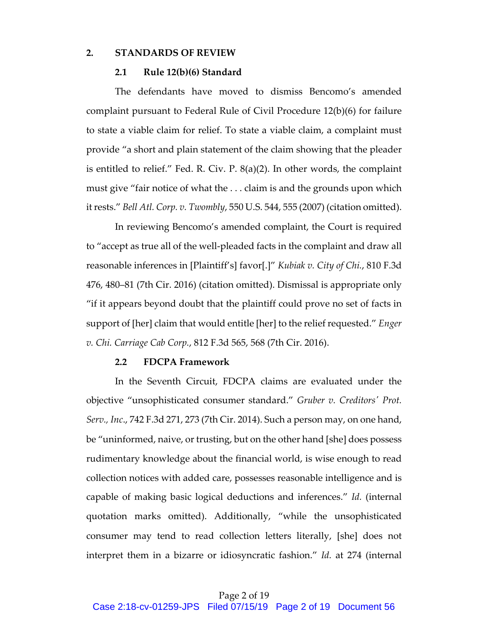#### **2. STANDARDS OF REVIEW**

#### **2.1 Rule 12(b)(6) Standard**

The defendants have moved to dismiss Bencomo's amended complaint pursuant to Federal Rule of Civil Procedure 12(b)(6) for failure to state a viable claim for relief. To state a viable claim, a complaint must provide "a short and plain statement of the claim showing that the pleader is entitled to relief." Fed. R. Civ. P. 8(a)(2). In other words, the complaint must give "fair notice of what the . . . claim is and the grounds upon which it rests." *Bell Atl. Corp. v. Twombly*, 550 U.S. 544, 555 (2007) (citation omitted).

In reviewing Bencomo's amended complaint, the Court is required to "accept as true all of the well-pleaded facts in the complaint and draw all reasonable inferences in [Plaintiff's] favor[.]" *Kubiak v. City of Chi.*, 810 F.3d 476, 480–81 (7th Cir. 2016) (citation omitted). Dismissal is appropriate only "if it appears beyond doubt that the plaintiff could prove no set of facts in support of [her] claim that would entitle [her] to the relief requested." *Enger v. Chi. Carriage Cab Corp.*, 812 F.3d 565, 568 (7th Cir. 2016).

#### **2.2 FDCPA Framework**

In the Seventh Circuit, FDCPA claims are evaluated under the objective "unsophisticated consumer standard." *Gruber v. Creditors' Prot. Serv., Inc*., 742 F.3d 271, 273 (7th Cir. 2014). Such a person may, on one hand, be "uninformed, naive, or trusting, but on the other hand [she] does possess rudimentary knowledge about the financial world, is wise enough to read collection notices with added care, possesses reasonable intelligence and is capable of making basic logical deductions and inferences." *Id.* (internal quotation marks omitted). Additionally, "while the unsophisticated consumer may tend to read collection letters literally, [she] does not interpret them in a bizarre or idiosyncratic fashion." *Id.* at 274 (internal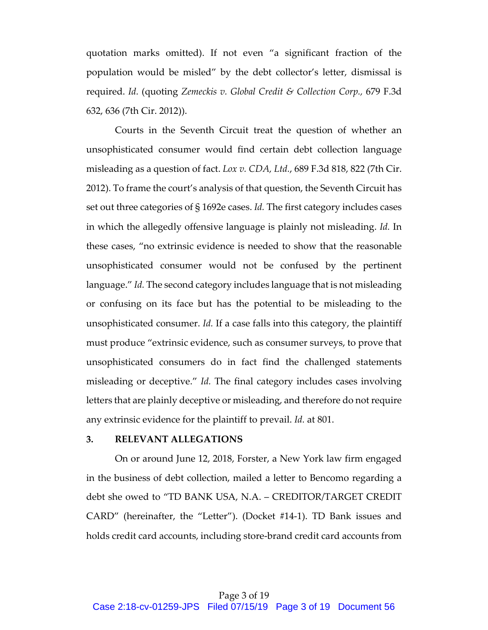quotation marks omitted). If not even "a significant fraction of the population would be misled" by the debt collector's letter, dismissal is required. *Id.* (quoting *Zemeckis v. Global Credit & Collection Corp.,* 679 F.3d 632, 636 (7th Cir. 2012)).

Courts in the Seventh Circuit treat the question of whether an unsophisticated consumer would find certain debt collection language misleading as a question of fact. *Lox v. CDA, Ltd.*, 689 F.3d 818, 822 (7th Cir. 2012). To frame the court's analysis of that question, the Seventh Circuit has set out three categories of § 1692e cases. *Id.* The first category includes cases in which the allegedly offensive language is plainly not misleading. *Id.* In these cases, "no extrinsic evidence is needed to show that the reasonable unsophisticated consumer would not be confused by the pertinent language." *Id.* The second category includes language that is not misleading or confusing on its face but has the potential to be misleading to the unsophisticated consumer. *Id.* If a case falls into this category, the plaintiff must produce "extrinsic evidence, such as consumer surveys, to prove that unsophisticated consumers do in fact find the challenged statements misleading or deceptive." *Id.* The final category includes cases involving letters that are plainly deceptive or misleading, and therefore do not require any extrinsic evidence for the plaintiff to prevail. *Id.* at 801.

## **3. RELEVANT ALLEGATIONS**

On or around June 12, 2018, Forster, a New York law firm engaged in the business of debt collection, mailed a letter to Bencomo regarding a debt she owed to "TD BANK USA, N.A. – CREDITOR/TARGET CREDIT CARD" (hereinafter, the "Letter"). (Docket #14-1). TD Bank issues and holds credit card accounts, including store-brand credit card accounts from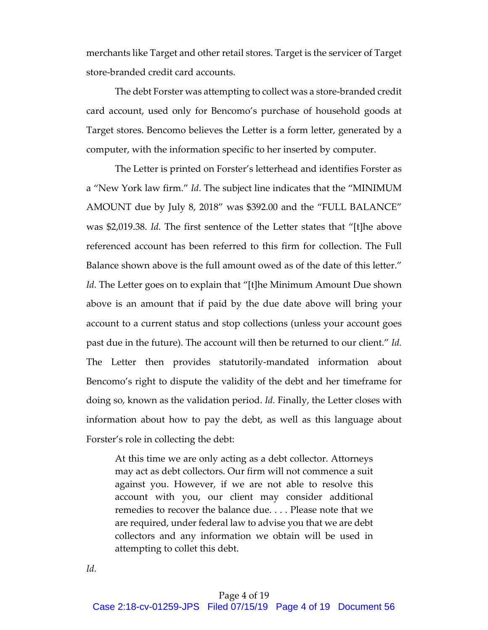merchants like Target and other retail stores. Target is the servicer of Target store-branded credit card accounts.

The debt Forster was attempting to collect was a store-branded credit card account, used only for Bencomo's purchase of household goods at Target stores. Bencomo believes the Letter is a form letter, generated by a computer, with the information specific to her inserted by computer.

The Letter is printed on Forster's letterhead and identifies Forster as a "New York law firm." *Id*. The subject line indicates that the "MINIMUM AMOUNT due by July 8, 2018" was \$392.00 and the "FULL BALANCE" was \$2,019.38. *Id.* The first sentence of the Letter states that "[t]he above referenced account has been referred to this firm for collection. The Full Balance shown above is the full amount owed as of the date of this letter." Id. The Letter goes on to explain that "[t]he Minimum Amount Due shown above is an amount that if paid by the due date above will bring your account to a current status and stop collections (unless your account goes past due in the future). The account will then be returned to our client." *Id.* The Letter then provides statutorily-mandated information about Bencomo's right to dispute the validity of the debt and her timeframe for doing so, known as the validation period. *Id.* Finally, the Letter closes with information about how to pay the debt, as well as this language about Forster's role in collecting the debt:

At this time we are only acting as a debt collector. Attorneys may act as debt collectors. Our firm will not commence a suit against you. However, if we are not able to resolve this account with you, our client may consider additional remedies to recover the balance due. . . . Please note that we are required, under federal law to advise you that we are debt collectors and any information we obtain will be used in attempting to collet this debt.

*Id.*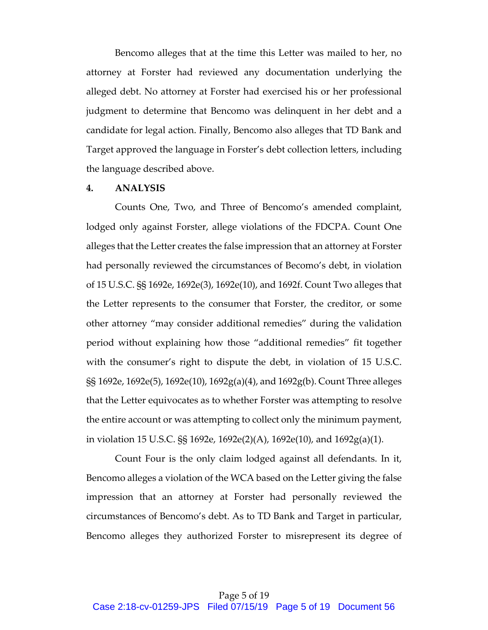Bencomo alleges that at the time this Letter was mailed to her, no attorney at Forster had reviewed any documentation underlying the alleged debt. No attorney at Forster had exercised his or her professional judgment to determine that Bencomo was delinquent in her debt and a candidate for legal action. Finally, Bencomo also alleges that TD Bank and Target approved the language in Forster's debt collection letters, including the language described above.

## **4. ANALYSIS**

Counts One, Two, and Three of Bencomo's amended complaint, lodged only against Forster, allege violations of the FDCPA. Count One alleges that the Letter creates the false impression that an attorney at Forster had personally reviewed the circumstances of Becomo's debt, in violation of 15 U.S.C. §§ 1692e, 1692e(3), 1692e(10), and 1692f. Count Two alleges that the Letter represents to the consumer that Forster, the creditor, or some other attorney "may consider additional remedies" during the validation period without explaining how those "additional remedies" fit together with the consumer's right to dispute the debt, in violation of 15 U.S.C. §§ 1692e, 1692e(5), 1692e(10), 1692g(a)(4), and 1692g(b). Count Three alleges that the Letter equivocates as to whether Forster was attempting to resolve the entire account or was attempting to collect only the minimum payment, in violation 15 U.S.C. §§ 1692e, 1692e(2)(A), 1692e(10), and 1692g(a)(1).

Count Four is the only claim lodged against all defendants. In it, Bencomo alleges a violation of the WCA based on the Letter giving the false impression that an attorney at Forster had personally reviewed the circumstances of Bencomo's debt. As to TD Bank and Target in particular, Bencomo alleges they authorized Forster to misrepresent its degree of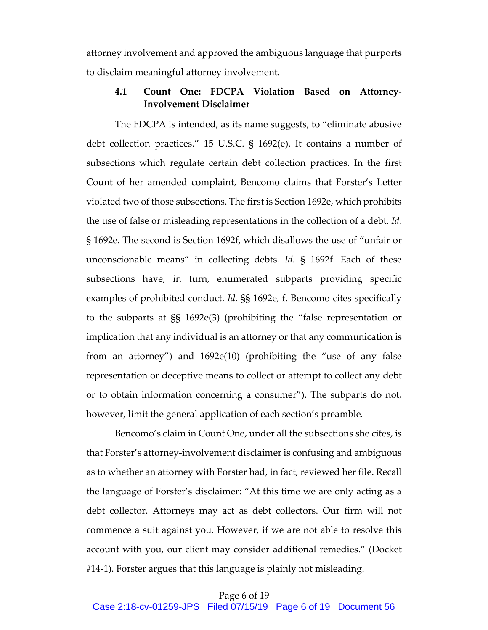attorney involvement and approved the ambiguous language that purports to disclaim meaningful attorney involvement.

## **4.1 Count One: FDCPA Violation Based on Attorney-Involvement Disclaimer**

The FDCPA is intended, as its name suggests, to "eliminate abusive debt collection practices." 15 U.S.C. § 1692(e). It contains a number of subsections which regulate certain debt collection practices. In the first Count of her amended complaint, Bencomo claims that Forster's Letter violated two of those subsections. The first is Section 1692e, which prohibits the use of false or misleading representations in the collection of a debt. *Id.* § 1692e. The second is Section 1692f, which disallows the use of "unfair or unconscionable means" in collecting debts. *Id.* § 1692f. Each of these subsections have, in turn, enumerated subparts providing specific examples of prohibited conduct. *Id.* §§ 1692e, f. Bencomo cites specifically to the subparts at §§ 1692e(3) (prohibiting the "false representation or implication that any individual is an attorney or that any communication is from an attorney") and 1692e(10) (prohibiting the "use of any false representation or deceptive means to collect or attempt to collect any debt or to obtain information concerning a consumer"). The subparts do not, however, limit the general application of each section's preamble*.*

Bencomo's claim in Count One, under all the subsections she cites, is that Forster's attorney-involvement disclaimer is confusing and ambiguous as to whether an attorney with Forster had, in fact, reviewed her file. Recall the language of Forster's disclaimer: "At this time we are only acting as a debt collector. Attorneys may act as debt collectors. Our firm will not commence a suit against you. However, if we are not able to resolve this account with you, our client may consider additional remedies." (Docket #14-1). Forster argues that this language is plainly not misleading.

#### Page 6 of 19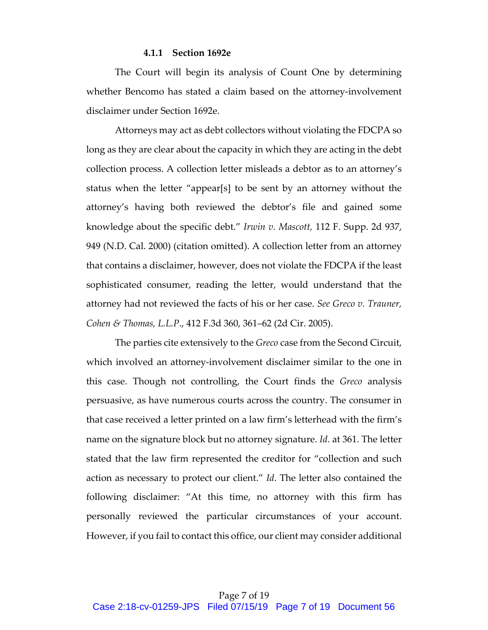#### **4.1.1 Section 1692e**

The Court will begin its analysis of Count One by determining whether Bencomo has stated a claim based on the attorney-involvement disclaimer under Section 1692e.

Attorneys may act as debt collectors without violating the FDCPA so long as they are clear about the capacity in which they are acting in the debt collection process. A collection letter misleads a debtor as to an attorney's status when the letter "appear[s] to be sent by an attorney without the attorney's having both reviewed the debtor's file and gained some knowledge about the specific debt." *Irwin v. Mascott,* 112 F. Supp. 2d 937, 949 (N.D. Cal. 2000) (citation omitted). A collection letter from an attorney that contains a disclaimer, however, does not violate the FDCPA if the least sophisticated consumer, reading the letter, would understand that the attorney had not reviewed the facts of his or her case. *See Greco v. Trauner, Cohen & Thomas, L.L.P*., 412 F.3d 360, 361–62 (2d Cir. 2005).

The parties cite extensively to the *Greco* case from the Second Circuit, which involved an attorney-involvement disclaimer similar to the one in this case. Though not controlling, the Court finds the *Greco* analysis persuasive, as have numerous courts across the country. The consumer in that case received a letter printed on a law firm's letterhead with the firm's name on the signature block but no attorney signature. *Id*. at 361. The letter stated that the law firm represented the creditor for "collection and such action as necessary to protect our client." *Id*. The letter also contained the following disclaimer: "At this time, no attorney with this firm has personally reviewed the particular circumstances of your account. However, if you fail to contact this office, our client may consider additional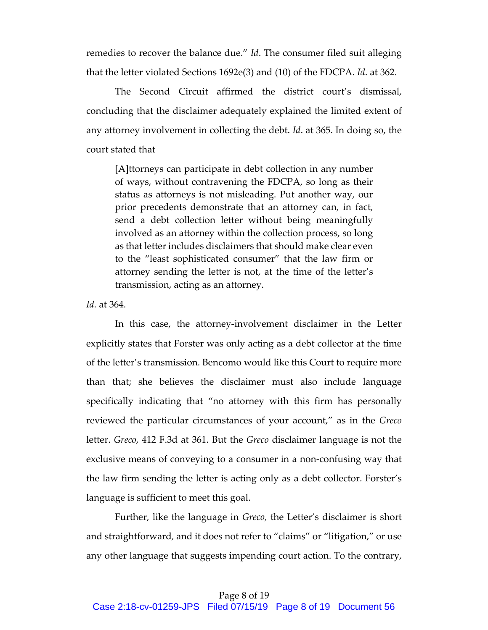remedies to recover the balance due." *Id*. The consumer filed suit alleging that the letter violated Sections 1692e(3) and (10) of the FDCPA. *Id*. at 362.

The Second Circuit affirmed the district court's dismissal, concluding that the disclaimer adequately explained the limited extent of any attorney involvement in collecting the debt. *Id*. at 365. In doing so, the court stated that

[A]ttorneys can participate in debt collection in any number of ways, without contravening the FDCPA, so long as their status as attorneys is not misleading. Put another way, our prior precedents demonstrate that an attorney can, in fact, send a debt collection letter without being meaningfully involved as an attorney within the collection process, so long as that letter includes disclaimers that should make clear even to the "least sophisticated consumer" that the law firm or attorney sending the letter is not, at the time of the letter's transmission, acting as an attorney.

*Id.* at 364.

In this case, the attorney-involvement disclaimer in the Letter explicitly states that Forster was only acting as a debt collector at the time of the letter's transmission. Bencomo would like this Court to require more than that; she believes the disclaimer must also include language specifically indicating that "no attorney with this firm has personally reviewed the particular circumstances of your account," as in the *Greco*  letter. *Greco*, 412 F.3d at 361. But the *Greco* disclaimer language is not the exclusive means of conveying to a consumer in a non-confusing way that the law firm sending the letter is acting only as a debt collector. Forster's language is sufficient to meet this goal.

Further, like the language in *Greco,* the Letter's disclaimer is short and straightforward*,* and it does not refer to "claims" or "litigation," or use any other language that suggests impending court action. To the contrary,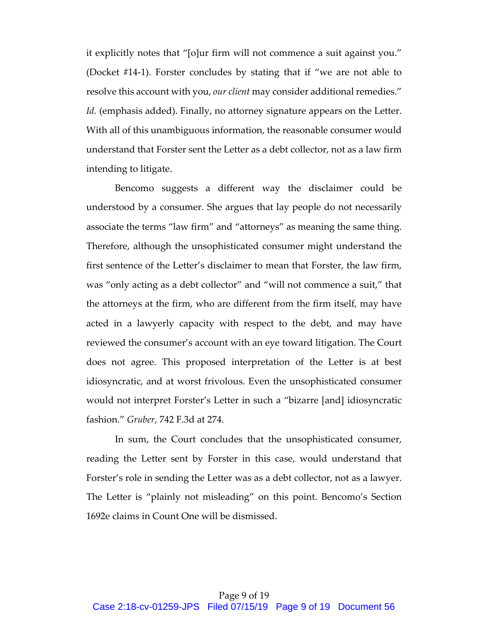it explicitly notes that "[o]ur firm will not commence a suit against you." (Docket #14-1). Forster concludes by stating that if "we are not able to resolve this account with you, *our client* may consider additional remedies." *Id.* (emphasis added). Finally, no attorney signature appears on the Letter. With all of this unambiguous information, the reasonable consumer would understand that Forster sent the Letter as a debt collector, not as a law firm intending to litigate.

Bencomo suggests a different way the disclaimer could be understood by a consumer. She argues that lay people do not necessarily associate the terms "law firm" and "attorneys" as meaning the same thing. Therefore, although the unsophisticated consumer might understand the first sentence of the Letter's disclaimer to mean that Forster, the law firm, was "only acting as a debt collector" and "will not commence a suit," that the attorneys at the firm, who are different from the firm itself, may have acted in a lawyerly capacity with respect to the debt, and may have reviewed the consumer's account with an eye toward litigation. The Court does not agree. This proposed interpretation of the Letter is at best idiosyncratic, and at worst frivolous. Even the unsophisticated consumer would not interpret Forster's Letter in such a "bizarre [and] idiosyncratic fashion." *Gruber*, 742 F.3d at 274.

In sum, the Court concludes that the unsophisticated consumer, reading the Letter sent by Forster in this case, would understand that Forster's role in sending the Letter was as a debt collector, not as a lawyer. The Letter is "plainly not misleading" on this point. Bencomo's Section 1692e claims in Count One will be dismissed.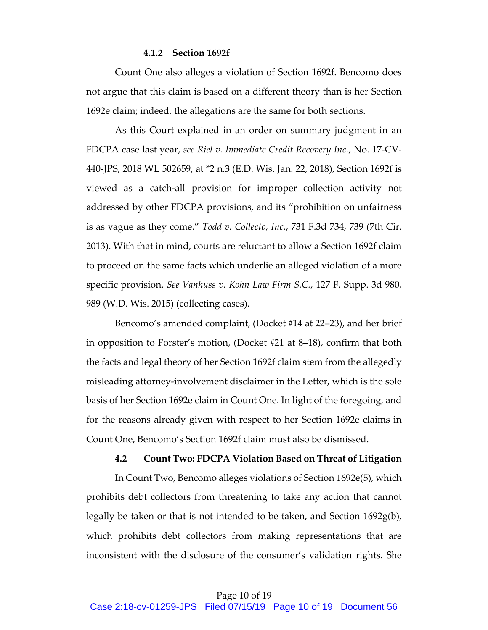#### **4.1.2 Section 1692f**

Count One also alleges a violation of Section 1692f. Bencomo does not argue that this claim is based on a different theory than is her Section 1692e claim; indeed, the allegations are the same for both sections.

As this Court explained in an order on summary judgment in an FDCPA case last year, *see Riel v. Immediate Credit Recovery Inc.*, No. 17-CV-440-JPS, 2018 WL 502659, at \*2 n.3 (E.D. Wis. Jan. 22, 2018), Section 1692f is viewed as a catch-all provision for improper collection activity not addressed by other FDCPA provisions, and its "prohibition on unfairness is as vague as they come." *Todd v. Collecto, Inc.*, 731 F.3d 734, 739 (7th Cir. 2013). With that in mind, courts are reluctant to allow a Section 1692f claim to proceed on the same facts which underlie an alleged violation of a more specific provision. *See Vanhuss v. Kohn Law Firm S.C.*, 127 F. Supp. 3d 980, 989 (W.D. Wis. 2015) (collecting cases).

Bencomo's amended complaint, (Docket #14 at 22–23), and her brief in opposition to Forster's motion, (Docket #21 at 8–18), confirm that both the facts and legal theory of her Section 1692f claim stem from the allegedly misleading attorney-involvement disclaimer in the Letter, which is the sole basis of her Section 1692e claim in Count One. In light of the foregoing, and for the reasons already given with respect to her Section 1692e claims in Count One, Bencomo's Section 1692f claim must also be dismissed.

## **4.2 Count Two: FDCPA Violation Based on Threat of Litigation**

In Count Two, Bencomo alleges violations of Section 1692e(5), which prohibits debt collectors from threatening to take any action that cannot legally be taken or that is not intended to be taken, and Section 1692g(b), which prohibits debt collectors from making representations that are inconsistent with the disclosure of the consumer's validation rights. She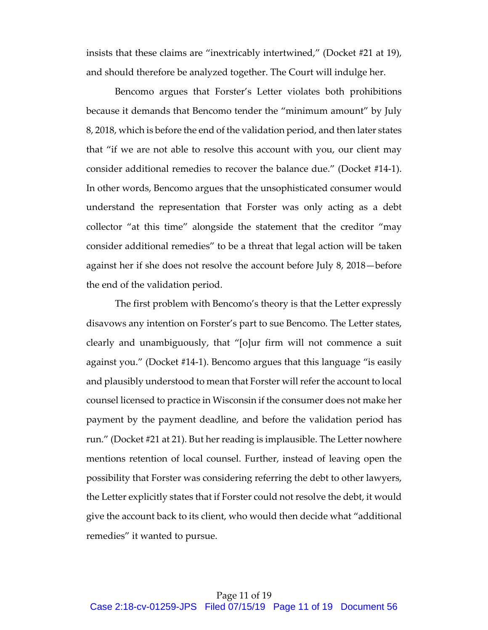insists that these claims are "inextricably intertwined," (Docket #21 at 19), and should therefore be analyzed together. The Court will indulge her.

Bencomo argues that Forster's Letter violates both prohibitions because it demands that Bencomo tender the "minimum amount" by July 8, 2018, which is before the end of the validation period, and then later states that "if we are not able to resolve this account with you, our client may consider additional remedies to recover the balance due." (Docket #14-1). In other words, Bencomo argues that the unsophisticated consumer would understand the representation that Forster was only acting as a debt collector "at this time" alongside the statement that the creditor "may consider additional remedies" to be a threat that legal action will be taken against her if she does not resolve the account before July 8, 2018—before the end of the validation period.

The first problem with Bencomo's theory is that the Letter expressly disavows any intention on Forster's part to sue Bencomo. The Letter states, clearly and unambiguously, that "[o]ur firm will not commence a suit against you." (Docket #14-1). Bencomo argues that this language "is easily and plausibly understood to mean that Forster will refer the account to local counsel licensed to practice in Wisconsin if the consumer does not make her payment by the payment deadline, and before the validation period has run." (Docket #21 at 21). But her reading is implausible. The Letter nowhere mentions retention of local counsel. Further, instead of leaving open the possibility that Forster was considering referring the debt to other lawyers, the Letter explicitly states that if Forster could not resolve the debt, it would give the account back to its client, who would then decide what "additional remedies" it wanted to pursue.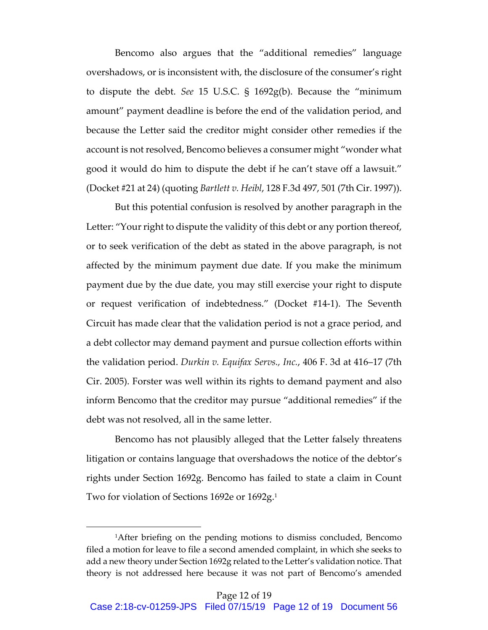Bencomo also argues that the "additional remedies" language overshadows, or is inconsistent with, the disclosure of the consumer's right to dispute the debt. *See* 15 U.S.C. § 1692g(b). Because the "minimum amount" payment deadline is before the end of the validation period, and because the Letter said the creditor might consider other remedies if the account is not resolved, Bencomo believes a consumer might "wonder what good it would do him to dispute the debt if he can't stave off a lawsuit." (Docket #21 at 24) (quoting *Bartlett v. Heibl*, 128 F.3d 497, 501 (7th Cir. 1997)).

But this potential confusion is resolved by another paragraph in the Letter: "Your right to dispute the validity of this debt or any portion thereof, or to seek verification of the debt as stated in the above paragraph, is not affected by the minimum payment due date. If you make the minimum payment due by the due date, you may still exercise your right to dispute or request verification of indebtedness." (Docket #14-1). The Seventh Circuit has made clear that the validation period is not a grace period, and a debt collector may demand payment and pursue collection efforts within the validation period. *Durkin v. Equifax Servs., Inc.*, 406 F. 3d at 416–17 (7th Cir. 2005). Forster was well within its rights to demand payment and also inform Bencomo that the creditor may pursue "additional remedies" if the debt was not resolved, all in the same letter.

Bencomo has not plausibly alleged that the Letter falsely threatens litigation or contains language that overshadows the notice of the debtor's rights under Section 1692g. Bencomo has failed to state a claim in Count Two for violation of Sections 1692e or 1692g.<sup>1</sup>

 $\overline{a}$ 

<sup>&</sup>lt;sup>1</sup>After briefing on the pending motions to dismiss concluded, Bencomo filed a motion for leave to file a second amended complaint, in which she seeks to add a new theory under Section 1692g related to the Letter's validation notice. That theory is not addressed here because it was not part of Bencomo's amended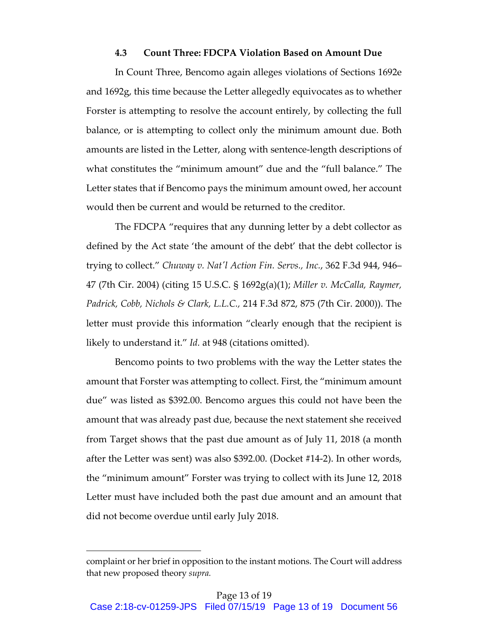#### **4.3 Count Three: FDCPA Violation Based on Amount Due**

In Count Three, Bencomo again alleges violations of Sections 1692e and 1692g, this time because the Letter allegedly equivocates as to whether Forster is attempting to resolve the account entirely, by collecting the full balance, or is attempting to collect only the minimum amount due. Both amounts are listed in the Letter, along with sentence-length descriptions of what constitutes the "minimum amount" due and the "full balance." The Letter states that if Bencomo pays the minimum amount owed, her account would then be current and would be returned to the creditor.

The FDCPA "requires that any dunning letter by a debt collector as defined by the Act state 'the amount of the debt' that the debt collector is trying to collect." *Chuway v. Nat'l Action Fin. Servs., Inc.*, 362 F.3d 944, 946– 47 (7th Cir. 2004) (citing 15 U.S.C. § 1692g(a)(1); *Miller v. McCalla, Raymer, Padrick, Cobb, Nichols & Clark, L.L.C.,* 214 F.3d 872, 875 (7th Cir. 2000)). The letter must provide this information "clearly enough that the recipient is likely to understand it." *Id.* at 948 (citations omitted).

Bencomo points to two problems with the way the Letter states the amount that Forster was attempting to collect. First, the "minimum amount due" was listed as \$392.00. Bencomo argues this could not have been the amount that was already past due, because the next statement she received from Target shows that the past due amount as of July 11, 2018 (a month after the Letter was sent) was also \$392.00. (Docket #14-2). In other words, the "minimum amount" Forster was trying to collect with its June 12, 2018 Letter must have included both the past due amount and an amount that did not become overdue until early July 2018.

 $\overline{a}$ 

complaint or her brief in opposition to the instant motions. The Court will address that new proposed theory *supra.*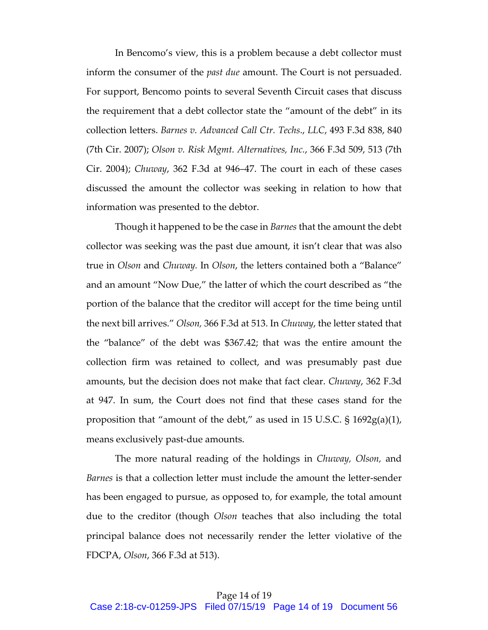In Bencomo's view, this is a problem because a debt collector must inform the consumer of the *past due* amount. The Court is not persuaded. For support, Bencomo points to several Seventh Circuit cases that discuss the requirement that a debt collector state the "amount of the debt" in its collection letters. *Barnes v. Advanced Call Ctr. Techs*., *LLC*, 493 F.3d 838, 840 (7th Cir. 2007); *Olson v. Risk Mgmt. Alternatives, Inc.*, 366 F.3d 509, 513 (7th Cir. 2004); *Chuway*, 362 F.3d at 946–47. The court in each of these cases discussed the amount the collector was seeking in relation to how that information was presented to the debtor.

Though it happened to be the case in *Barnes* that the amount the debt collector was seeking was the past due amount, it isn't clear that was also true in *Olson* and *Chuway.* In *Olson*, the letters contained both a "Balance" and an amount "Now Due," the latter of which the court described as "the portion of the balance that the creditor will accept for the time being until the next bill arrives." *Olson,* 366 F.3d at 513. In *Chuway*, the letter stated that the "balance" of the debt was \$367.42; that was the entire amount the collection firm was retained to collect, and was presumably past due amounts, but the decision does not make that fact clear. *Chuway*, 362 F.3d at 947. In sum, the Court does not find that these cases stand for the proposition that "amount of the debt," as used in 15 U.S.C. § 1692g(a)(1), means exclusively past-due amounts.

The more natural reading of the holdings in *Chuway, Olson,* and *Barnes* is that a collection letter must include the amount the letter-sender has been engaged to pursue, as opposed to, for example, the total amount due to the creditor (though *Olson* teaches that also including the total principal balance does not necessarily render the letter violative of the FDCPA, *Olson*, 366 F.3d at 513).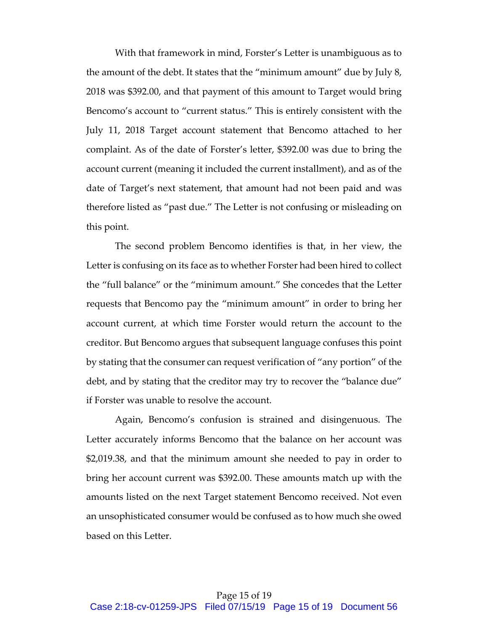With that framework in mind, Forster's Letter is unambiguous as to the amount of the debt. It states that the "minimum amount" due by July 8, 2018 was \$392.00, and that payment of this amount to Target would bring Bencomo's account to "current status." This is entirely consistent with the July 11, 2018 Target account statement that Bencomo attached to her complaint. As of the date of Forster's letter, \$392.00 was due to bring the account current (meaning it included the current installment), and as of the date of Target's next statement, that amount had not been paid and was therefore listed as "past due." The Letter is not confusing or misleading on this point.

The second problem Bencomo identifies is that, in her view, the Letter is confusing on its face as to whether Forster had been hired to collect the "full balance" or the "minimum amount." She concedes that the Letter requests that Bencomo pay the "minimum amount" in order to bring her account current, at which time Forster would return the account to the creditor. But Bencomo argues that subsequent language confuses this point by stating that the consumer can request verification of "any portion" of the debt, and by stating that the creditor may try to recover the "balance due" if Forster was unable to resolve the account.

Again, Bencomo's confusion is strained and disingenuous. The Letter accurately informs Bencomo that the balance on her account was \$2,019.38, and that the minimum amount she needed to pay in order to bring her account current was \$392.00. These amounts match up with the amounts listed on the next Target statement Bencomo received. Not even an unsophisticated consumer would be confused as to how much she owed based on this Letter.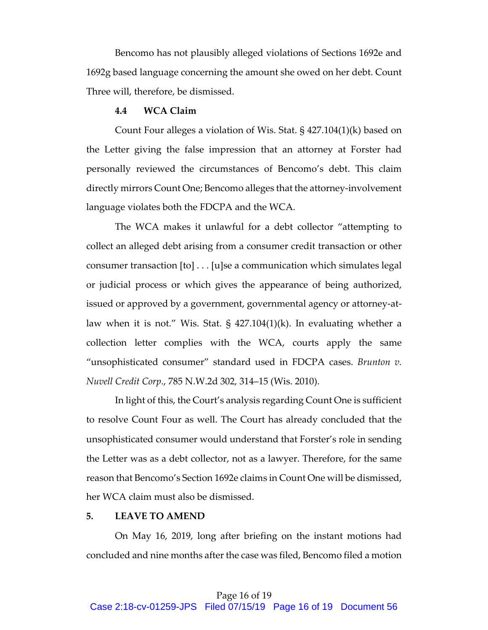Bencomo has not plausibly alleged violations of Sections 1692e and 1692g based language concerning the amount she owed on her debt. Count Three will, therefore, be dismissed.

## **4.4 WCA Claim**

Count Four alleges a violation of Wis. Stat. § 427.104(1)(k) based on the Letter giving the false impression that an attorney at Forster had personally reviewed the circumstances of Bencomo's debt. This claim directly mirrors Count One; Bencomo alleges that the attorney-involvement language violates both the FDCPA and the WCA.

The WCA makes it unlawful for a debt collector "attempting to collect an alleged debt arising from a consumer credit transaction or other consumer transaction [to] . . . [u]se a communication which simulates legal or judicial process or which gives the appearance of being authorized, issued or approved by a government, governmental agency or attorney-atlaw when it is not." Wis. Stat. § 427.104(1)(k). In evaluating whether a collection letter complies with the WCA, courts apply the same "unsophisticated consumer" standard used in FDCPA cases. *Brunton v. Nuvell Credit Corp*., 785 N.W.2d 302, 314–15 (Wis. 2010).

In light of this, the Court's analysis regarding Count One is sufficient to resolve Count Four as well. The Court has already concluded that the unsophisticated consumer would understand that Forster's role in sending the Letter was as a debt collector, not as a lawyer. Therefore, for the same reason that Bencomo's Section 1692e claims in Count One will be dismissed, her WCA claim must also be dismissed.

## **5. LEAVE TO AMEND**

On May 16, 2019, long after briefing on the instant motions had concluded and nine months after the case was filed, Bencomo filed a motion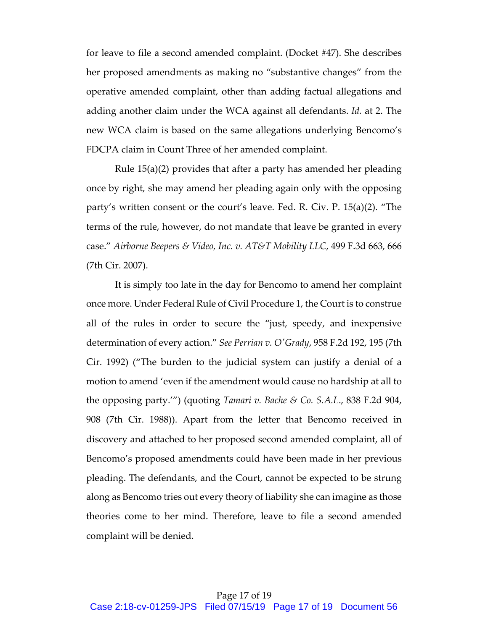for leave to file a second amended complaint. (Docket #47). She describes her proposed amendments as making no "substantive changes" from the operative amended complaint, other than adding factual allegations and adding another claim under the WCA against all defendants. *Id.* at 2. The new WCA claim is based on the same allegations underlying Bencomo's FDCPA claim in Count Three of her amended complaint.

Rule 15(a)(2) provides that after a party has amended her pleading once by right, she may amend her pleading again only with the opposing party's written consent or the court's leave. Fed. R. Civ. P. 15(a)(2). "The terms of the rule, however, do not mandate that leave be granted in every case." *Airborne Beepers & Video, Inc. v. AT&T Mobility LLC*, 499 F.3d 663, 666 (7th Cir. 2007).

It is simply too late in the day for Bencomo to amend her complaint once more. Under Federal Rule of Civil Procedure 1, the Court is to construe all of the rules in order to secure the "just, speedy, and inexpensive determination of every action." *See Perrian v. O'Grady*, 958 F.2d 192, 195 (7th Cir. 1992) ("The burden to the judicial system can justify a denial of a motion to amend 'even if the amendment would cause no hardship at all to the opposing party.'") (quoting *Tamari v. Bache & Co. S.A.L*., 838 F.2d 904, 908 (7th Cir. 1988)). Apart from the letter that Bencomo received in discovery and attached to her proposed second amended complaint, all of Bencomo's proposed amendments could have been made in her previous pleading. The defendants, and the Court, cannot be expected to be strung along as Bencomo tries out every theory of liability she can imagine as those theories come to her mind. Therefore, leave to file a second amended complaint will be denied.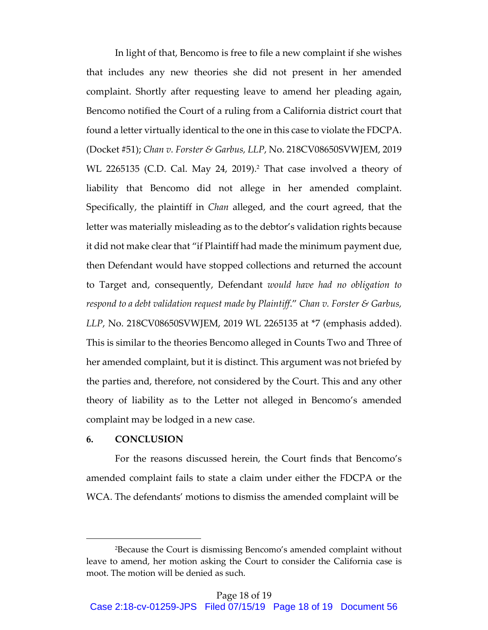In light of that, Bencomo is free to file a new complaint if she wishes that includes any new theories she did not present in her amended complaint. Shortly after requesting leave to amend her pleading again, Bencomo notified the Court of a ruling from a California district court that found a letter virtually identical to the one in this case to violate the FDCPA. (Docket #51); *Chan v. Forster & Garbus, LLP*, No. 218CV08650SVWJEM, 2019 WL 2265135 (C.D. Cal. May 24, 2019). <sup>2</sup> That case involved a theory of liability that Bencomo did not allege in her amended complaint. Specifically, the plaintiff in *Chan* alleged, and the court agreed, that the letter was materially misleading as to the debtor's validation rights because it did not make clear that "if Plaintiff had made the minimum payment due, then Defendant would have stopped collections and returned the account to Target and, consequently, Defendant *would have had no obligation to respond to a debt validation request made by Plaintiff*." *Chan v. Forster & Garbus, LLP*, No. 218CV08650SVWJEM, 2019 WL 2265135 at \*7 (emphasis added). This is similar to the theories Bencomo alleged in Counts Two and Three of her amended complaint, but it is distinct. This argument was not briefed by the parties and, therefore, not considered by the Court. This and any other theory of liability as to the Letter not alleged in Bencomo's amended complaint may be lodged in a new case.

#### **6. CONCLUSION**

 $\overline{a}$ 

For the reasons discussed herein, the Court finds that Bencomo's amended complaint fails to state a claim under either the FDCPA or the WCA. The defendants' motions to dismiss the amended complaint will be

<sup>2</sup>Because the Court is dismissing Bencomo's amended complaint without leave to amend, her motion asking the Court to consider the California case is moot. The motion will be denied as such.